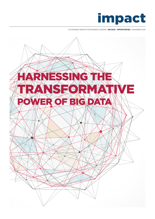

**ACTIONABLE INSIGHT FOR BUSINESS LEADERS / BIG DATA - OPPORTUNITIES / NOVEMBER 2016**

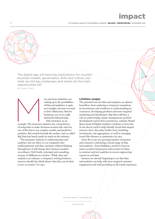02 **ACTIONABLE INSIGHT FOR BUSINESS LEADERS / BIG DATA - OPPORTUNITIES / NOVEMBER 2016**

The digital age will have big implications for insurers' business models, governance, skills and culture, but what are the key challenges and where do the main opportunities lie? By Stuart Collins



ore and more industries are waking up to the possibilities of data and analytics; to gain new insights, increase revenues or drive efficiencies. But few businesses are yet to really unlock the full potential. Take insurance as an

example. The insurance industry has a long history of using data to make decisions around risk, and was one of the first to use complex models and predictive analytics. But scratch beneath the surface, and so-called Big Data has barely made its mark on the industry.

"The insurance industry is embracing data and analytics, but too often we see companies hire mathematicians and data scientists without thinking through how it will change their business models," according to Neil Cantle, principal and consulting actuary at Milliman in London. "While data and analytics can enhance a company's existing business, insurers should also think about what they can do that is new or creative," he says.

#### **Limitless usages**

The potential uses for data and analytics are almost boundless, from analysing a company's reputation, its investments and workforce to understanding its customers, developing products and more targeted marketing and distribution. Big Data will have a role in underwriting, claims management, product development and in-force persistency, explains Daniel Ryan, head of Digital Analytics Catalysts at Swiss Re. It can also be used to help identify trends that impact insurers above the policy holder level, including investments, risk aggregation, as well as emerging trends like diseases or pandemics, he says.

Swiss Re is one of a growing number of insurers and reinsurers embracing a broad range of data and analytics—from building a model to forecast motor accident frequencies and severity in China to contract and text analytics to screen engineering reports in real time.

Insurers are already beginning to see that data and analytics can help with more targeted customer engagement and with providing an all-round experience.

MILLIMAN / IMPACT / NOVEMBER 2016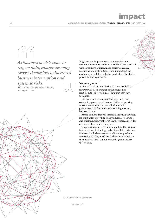*As business models come to rely on data, companies may expose themselves to increased business interruption and* 

### *systemic risks.*

Neil Cantle, principal and consulting actuary, Milliman



"Big Data can help companies better understand customer behaviour, which is crucial to risks associated with consumers. But it can also assist with sales, marketing and distribution. If you understand the customer you will have a better product and be able to price it better," says Cantle.

### **Volume game**

As more and more data on risk becomes available, insurers will face a number of challenges, not least from the sheer volume of data they may have to handle.

Developments in machine learning, increased computing power, greater connectivity and growing ranks of sensors and devices will all mean far greater access to data and analytics going forward, believes Cantle.

Access to more data will present a practical challenge for companies, according to David Excell, co-Founder and chief technology officer of Featurespace, a provider of adaptive behavioural analytics.

"Organisations need to think about how they can use information as technology makes it available, whether it is to make the business more efficient or products more tailored. They need to ask themselves, what are the questions that I cannot currently get an answer to?" he says.

MILLIMAN / IMPACT / NOVEMBER 2016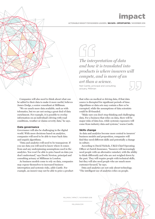**ACTIONABLE INSIGHT FOR BUSINESS LEADERS / BIG DATA - OPPORTUNITIES / NOVEMBER 2016**

Companies will also need to think about what can be added to their data to make it more useful, believes James Dodge, a senior consultant at Milliman.

"We see much more data available, such as with telematics, but we are not seeing a great deal of data enrichment. For example, it is possible to overlay information on an individual's driving with road conditions, weather or claims severity data," he says.

#### **Data governance**

 $\triangle$ 

Governance will also be challenging in the digital world. With more decisions based on analytics, companies will need to be able to trace back data and unpick algorithms.

"Data and analytics will need to be transparent. If you use data you will need to know where it comes from and any underpinning assumptions used in the analytics. You won't be able to price based on data you don't understand," says Derek Newton, principal and consulting actuary at Milliman in London.

As business models come to rely on data, companies may expose themselves to increased business interruption and systemic risks, adds Cantle. For example, an insurer may not be able to price a product

*The interpretation of data and how it is translated into products is where insurers will compete, and is more of an art than a science.*

Neil Cantle, principal and consulting actuary, Milliman



that relies on medical or driving data, if that data source is disrupted for significant periods of time. Algorithms or data sets may contain a flaw or be corrupted, while the assumptions of data scientists could be ill-founded.

"Make sure you don't stop thinking and challenging data. For a business that relies on data, there will be major risks of data loss, while systemic exposures will come from industry data and systems," warns Cantle.

#### **Skills change**

As data and analytics become more central to insurers' business models and proposition, companies will find they need different skills and potentially a change in culture.

According to David Nichols, UKGI Chief Operating Officer at Zurich Insurance, "Insurers will increasingly need people with an alternative mindset, with the ability to think differently and who are not weighed down by the past. They will require people with technical skills, but they will also need people who are much more customer focused," he says.

Data and analytics are not only about technology. "The intelligent use of analytics relies on people.



MILLIMAN / IMPACT / NOVEMBER 2016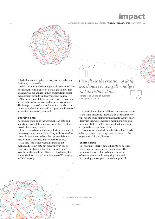**ACTIONABLE INSIGHT FOR BUSINESS LEADERS / BIG DATA - OPPORTUNITIES / NOVEMBER 2016**



It is the human that gains the insights and makes the decisions," Cantle adds.

While insurers are beginning to realise they need data scientists, there is likely to be a skills gap in how data and analytics are applied in the business, from senior management down to underwriting and claims.

"The future role of the underwriter will be to review all the information sources and make an assessment. The interpretation of data and how it is translated into products is where insurers will compete, and is more of an art than a science," says Cantle.

#### **Sourcing data**

As insurers wake up to the possibilities of data and analytics, there will be questions over who is best placed to collect and analyse data.

Insurers could create their own devices, or work with technology companies to do so. They will also need to persuade customers to share their personal data and may well have to source data from third parties.

"We may see a world where insurers do not individually collect data but focus on what can be done with the data and how they can add value," says Richard Clark, head of business development at Xuber, the insurance software business of Xchanging, a CSC Company.

*We will see the creation of data warehouses to compile, analyse and distribute data.*

Richard Clark, head of business development, Xuber

A particular challenge will be to convince customers of the value of sharing their data. To do this, insurers will need to build platforms that enable them to share data with their customers in a meaningful way and to demonstrate how it is being used to their benefit, explains Swiss Re's Daniel Ryan.

"Insurers use of an individual's data will need to be ethical, appropriate, transparent and linked to the organisation's brand," he says.

#### **Sharing data**

The sharing of market data is likely to be another key area of development in years to come. The insurance industry shares data in a number of areas—most notably in fighting fraud and for tracking catastrophe claims—but generally

MILLIMAN / IMPACT / NOVEMBER 2016